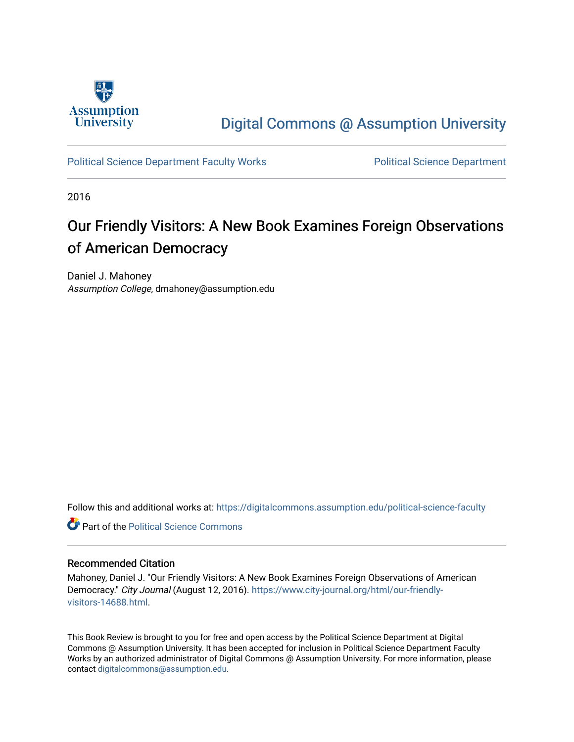

### [Digital Commons @ Assumption University](https://digitalcommons.assumption.edu/)

[Political Science Department Faculty Works](https://digitalcommons.assumption.edu/political-science-faculty) [Political Science Department](https://digitalcommons.assumption.edu/political-science) 

2016

# Our Friendly Visitors: A New Book Examines Foreign Observations of American Democracy

Daniel J. Mahoney Assumption College, dmahoney@assumption.edu

Follow this and additional works at: [https://digitalcommons.assumption.edu/political-science-faculty](https://digitalcommons.assumption.edu/political-science-faculty?utm_source=digitalcommons.assumption.edu%2Fpolitical-science-faculty%2F61&utm_medium=PDF&utm_campaign=PDFCoverPages)

**C** Part of the Political Science Commons

#### Recommended Citation

Mahoney, Daniel J. "Our Friendly Visitors: A New Book Examines Foreign Observations of American Democracy." City Journal (August 12, 2016). [https://www.city-journal.org/html/our-friendly](https://www.city-journal.org/html/our-friendly-visitors-14688.html)[visitors-14688.html.](https://www.city-journal.org/html/our-friendly-visitors-14688.html)

This Book Review is brought to you for free and open access by the Political Science Department at Digital Commons @ Assumption University. It has been accepted for inclusion in Political Science Department Faculty Works by an authorized administrator of Digital Commons @ Assumption University. For more information, please contact [digitalcommons@assumption.edu.](mailto:digitalcommons@assumption.edu)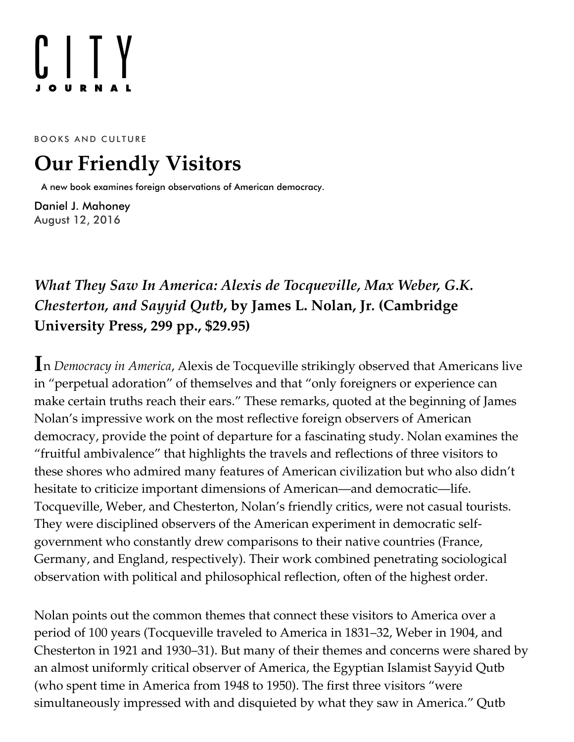# $[]$   $[$   $]$

BOOKS AND CULTURE

# **Our Friendly Visitors**

A new book examines foreign observations of American democracy.

[Daniel J. Mahoney](https://www.city-journal.org/contributor/daniel-j-mahoney_578) August 12, 2016

## *What They Saw In America: Alexis de Tocqueville, Max Weber, G.K. Chesterton, and Sayyid Qutb***, by James L. Nolan, Jr***.* **[\(Cambridge](http://www.amazon.com/exec/obidos/ASIN/1316601595/manhattaninstitu/) University Press, 299 pp., \$29.95)**

**I** n *Democracy in America*, Alexis de Tocqueville strikingly observed that Americans live in "perpetual adoration" of themselves and that "only foreigners or experience can make certain truths reach their ears." These remarks, quoted at the beginning of James Nolan's impressive work on the most reflective foreign observers of American democracy, provide the point of departure for a fascinating study. Nolan examines the "fruitful ambivalence" that highlights the travels and reflections of three visitors to these shores who admired many features of American civilization but who also didn't hesitate to criticize important dimensions of American—and democratic—life. Tocqueville, Weber, and Chesterton, Nolan's friendly critics, were not casual tourists. They were disciplined observers of the American experiment in democratic selfgovernment who constantly drew comparisons to their native countries (France, Germany, and England, respectively). Their work combined penetrating sociological observation with political and philosophical reflection, often of the highest order.

Nolan points out the common themes that connect these visitors to America over a period of 100 years (Tocqueville traveled to America in 1831–32, Weber in 1904, and Chesterton in 1921 and 1930–31). But many of their themes and concerns were shared by an almost uniformly critical observer of America, the Egyptian Islamist Sayyid Qutb (who spent time in America from 1948 to 1950). The first three visitors "were simultaneously impressed with and disquieted by what they saw in America." Qutb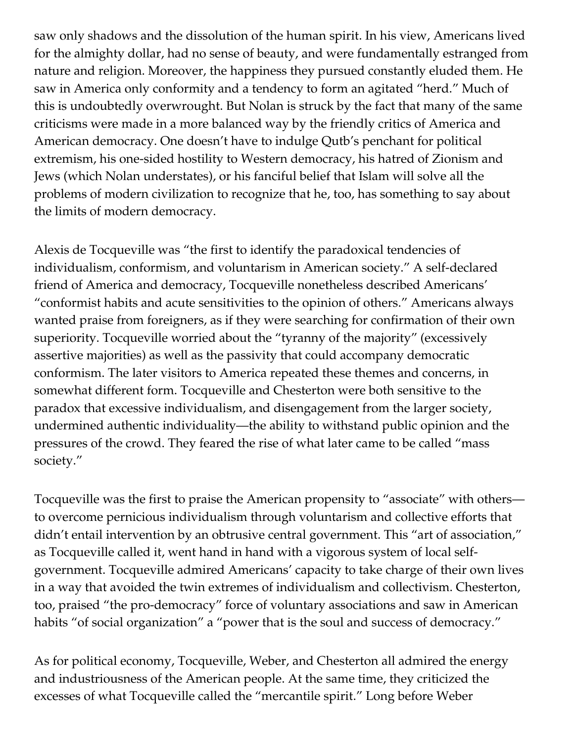saw only shadows and the dissolution of the human spirit. In his view, Americans lived for the almighty dollar, had no sense of beauty, and were fundamentally estranged from nature and religion. Moreover, the happiness they pursued constantly eluded them. He saw in America only conformity and a tendency to form an agitated "herd." Much of this is undoubtedly overwrought. But Nolan is struck by the fact that many of the same criticisms were made in a more balanced way by the friendly critics of America and American democracy. One doesn't have to indulge Qutb's penchant for political extremism, his one-sided hostility to Western democracy, his hatred of Zionism and Jews (which Nolan understates), or his fanciful belief that Islam will solve all the problems of modern civilization to recognize that he, too, has something to say about the limits of modern democracy.

Alexis de Tocqueville was "the first to identify the paradoxical tendencies of individualism, conformism, and voluntarism in American society." A self-declared friend of America and democracy, Tocqueville nonetheless described Americans' "conformist habits and acute sensitivities to the opinion of others." Americans always wanted praise from foreigners, as if they were searching for confirmation of their own superiority. Tocqueville worried about the "tyranny of the majority" (excessively assertive majorities) as well as the passivity that could accompany democratic conformism. The later visitors to America repeated these themes and concerns, in somewhat different form. Tocqueville and Chesterton were both sensitive to the paradox that excessive individualism, and disengagement from the larger society, undermined authentic individuality—the ability to withstand public opinion and the pressures of the crowd. They feared the rise of what later came to be called "mass society."

Tocqueville was the first to praise the American propensity to "associate" with others to overcome pernicious individualism through voluntarism and collective efforts that didn't entail intervention by an obtrusive central government. This "art of association," as Tocqueville called it, went hand in hand with a vigorous system of local selfgovernment. Tocqueville admired Americans' capacity to take charge of their own lives in a way that avoided the twin extremes of individualism and collectivism. Chesterton, too, praised "the pro-democracy" force of voluntary associations and saw in American habits "of social organization" a "power that is the soul and success of democracy."

As for political economy, Tocqueville, Weber, and Chesterton all admired the energy and industriousness of the American people. At the same time, they criticized the excesses of what Tocqueville called the "mercantile spirit." Long before Weber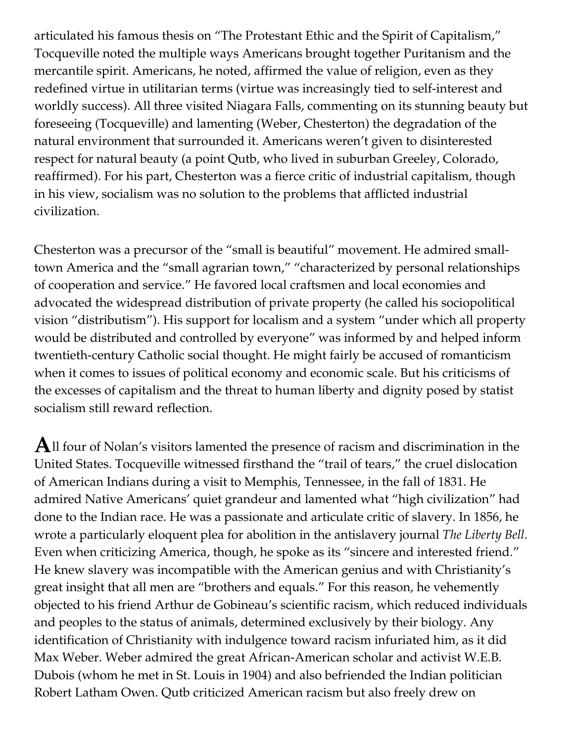articulated his famous thesis on "The Protestant Ethic and the Spirit of Capitalism," Tocqueville noted the multiple ways Americans brought together Puritanism and the mercantile spirit. Americans, he noted, affirmed the value of religion, even as they redefined virtue in utilitarian terms (virtue was increasingly tied to self-interest and worldly success). All three visited Niagara Falls, commenting on its stunning beauty but foreseeing (Tocqueville) and lamenting (Weber, Chesterton) the degradation of the natural environment that surrounded it. Americans weren't given to disinterested respect for natural beauty (a point Qutb, who lived in suburban Greeley, Colorado, reaffirmed). For his part, Chesterton was a fierce critic of industrial capitalism, though in his view, socialism was no solution to the problems that afflicted industrial civilization.

Chesterton was a precursor of the "small is beautiful" movement. He admired smalltown America and the "small agrarian town," "characterized by personal relationships of cooperation and service." He favored local craftsmen and local economies and advocated the widespread distribution of private property (he called his sociopolitical vision "distributism"). His support for localism and a system "under which all property would be distributed and controlled by everyone" was informed by and helped inform twentieth-century Catholic social thought. He might fairly be accused of romanticism when it comes to issues of political economy and economic scale. But his criticisms of the excesses of capitalism and the threat to human liberty and dignity posed by statist socialism still reward reflection.

 ${\bf A}$ ll four of Nolan's visitors lamented the presence of racism and discrimination in the United States. Tocqueville witnessed firsthand the "trail of tears," the cruel dislocation of American Indians during a visit to Memphis, Tennessee, in the fall of 1831. He admired Native Americans' quiet grandeur and lamented what "high civilization" had done to the Indian race. He was a passionate and articulate critic of slavery. In 1856, he wrote a particularly eloquent plea for abolition in the antislavery journal *The Liberty Bell*. Even when criticizing America, though, he spoke as its "sincere and interested friend." He knew slavery was incompatible with the American genius and with Christianity's great insight that all men are "brothers and equals." For this reason, he vehemently objected to his friend Arthur de Gobineau's scientific racism, which reduced individuals and peoples to the status of animals, determined exclusively by their biology. Any identification of Christianity with indulgence toward racism infuriated him, as it did Max Weber. Weber admired the great African-American scholar and activist W.E.B. Dubois (whom he met in St. Louis in 1904) and also befriended the Indian politician Robert Latham Owen. Qutb criticized American racism but also freely drew on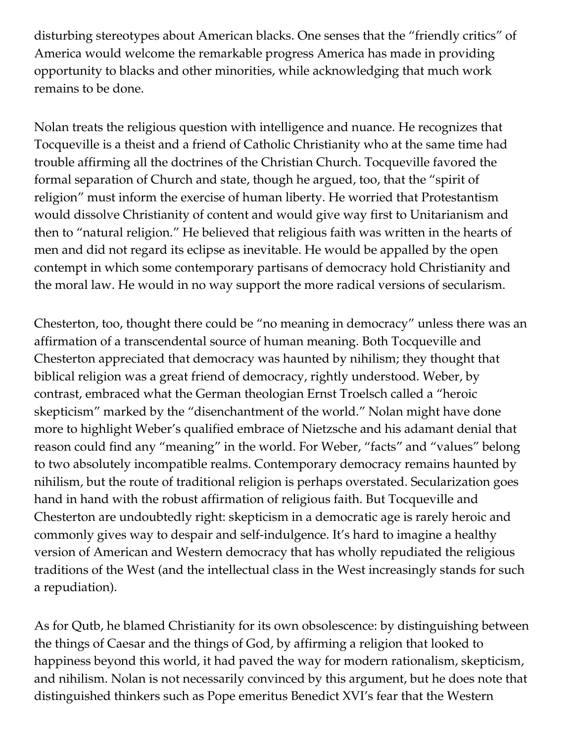disturbing stereotypes about American blacks. One senses that the "friendly critics" of America would welcome the remarkable progress America has made in providing opportunity to blacks and other minorities, while acknowledging that much work remains to be done.

Nolan treats the religious question with intelligence and nuance. He recognizes that Tocqueville is a theist and a friend of Catholic Christianity who at the same time had trouble affirming all the doctrines of the Christian Church. Tocqueville favored the formal separation of Church and state, though he argued, too, that the "spirit of religion" must inform the exercise of human liberty. He worried that Protestantism would dissolve Christianity of content and would give way first to Unitarianism and then to "natural religion." He believed that religious faith was written in the hearts of men and did not regard its eclipse as inevitable. He would be appalled by the open contempt in which some contemporary partisans of democracy hold Christianity and the moral law. He would in no way support the more radical versions of secularism.

Chesterton, too, thought there could be "no meaning in democracy" unless there was an affirmation of a transcendental source of human meaning. Both Tocqueville and Chesterton appreciated that democracy was haunted by nihilism; they thought that biblical religion was a great friend of democracy, rightly understood. Weber, by contrast, embraced what the German theologian Ernst Troelsch called a "heroic skepticism" marked by the "disenchantment of the world." Nolan might have done more to highlight Weber's qualified embrace of Nietzsche and his adamant denial that reason could find any "meaning" in the world. For Weber, "facts" and "values" belong to two absolutely incompatible realms. Contemporary democracy remains haunted by nihilism, but the route of traditional religion is perhaps overstated. Secularization goes hand in hand with the robust affirmation of religious faith. But Tocqueville and Chesterton are undoubtedly right: skepticism in a democratic age is rarely heroic and commonly gives way to despair and self-indulgence. It's hard to imagine a healthy version of American and Western democracy that has wholly repudiated the religious traditions of the West (and the intellectual class in the West increasingly stands for such a repudiation).

As for Qutb, he blamed Christianity for its own obsolescence: by distinguishing between the things of Caesar and the things of God, by affirming a religion that looked to happiness beyond this world, it had paved the way for modern rationalism, skepticism, and nihilism. Nolan is not necessarily convinced by this argument, but he does note that distinguished thinkers such as Pope emeritus Benedict XVI's fear that the Western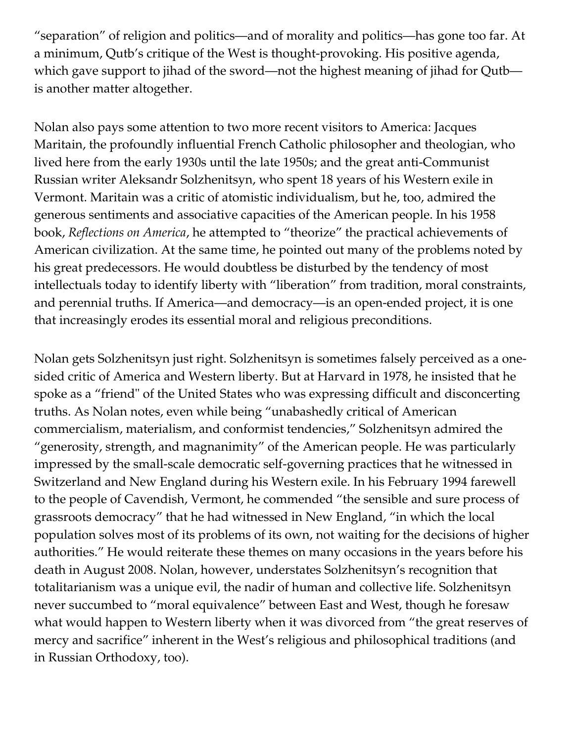"separation" of religion and politics—and of morality and politics—has gone too far. At a minimum, Qutb's critique of the West is thought-provoking. His positive agenda, which gave support to jihad of the sword—not the highest meaning of jihad for Qutb is another matter altogether.

Nolan also pays some attention to two more recent visitors to America: Jacques Maritain, the profoundly influential French Catholic philosopher and theologian, who lived here from the early 1930s until the late 1950s; and the great anti-Communist Russian writer Aleksandr Solzhenitsyn, who spent 18 years of his Western exile in Vermont. Maritain was a critic of atomistic individualism, but he, too, admired the generous sentiments and associative capacities of the American people. In his 1958 book, *[Reflections on America](http://www.amazon.com/exec/obidos/ASIN/0877521662/manhattaninstitu/)*, he attempted to "theorize" the practical achievements of American civilization. At the same time, he pointed out many of the problems noted by his great predecessors. He would doubtless be disturbed by the tendency of most intellectuals today to identify liberty with "liberation" from tradition, moral constraints, and perennial truths. If America—and democracy—is an open-ended project, it is one that increasingly erodes its essential moral and religious preconditions.

Nolan gets Solzhenitsyn just right. Solzhenitsyn is sometimes falsely perceived as a onesided critic of America and Western liberty. But at Harvard in 1978, he insisted that he spoke as a "friend" of the United States who was expressing difficult and disconcerting truths. As Nolan notes, even while being "unabashedly critical of American commercialism, materialism, and conformist tendencies," Solzhenitsyn admired the "generosity, strength, and magnanimity" of the American people. He was particularly impressed by the small-scale democratic self-governing practices that he witnessed in Switzerland and New England during his Western exile. In his February 1994 farewell to the people of Cavendish, Vermont, he commended "the sensible and sure process of grassroots democracy" that he had witnessed in New England, "in which the local population solves most of its problems of its own, not waiting for the decisions of higher authorities." He would reiterate these themes on many occasions in the years before his death in August 2008. Nolan, however, understates Solzhenitsyn's recognition that totalitarianism was a unique evil, the nadir of human and collective life. Solzhenitsyn never succumbed to "moral equivalence" between East and West, though he foresaw what would happen to Western liberty when it was divorced from "the great reserves of mercy and sacrifice" inherent in the West's religious and philosophical traditions (and in Russian Orthodoxy, too).